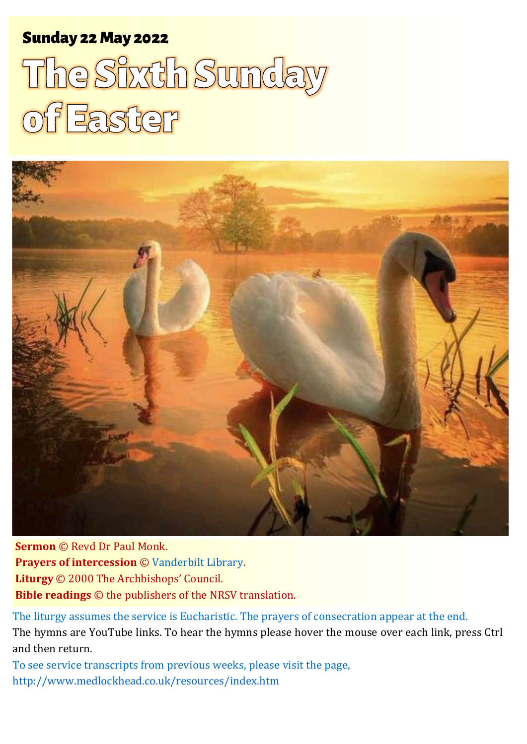# Sunday 22 May 2022 1 The Sixth Sunday of Easter Sunday 22May 2022

# The Sixth Sunday of Easter



**Sermon** © Revd Dr Paul Monk. **Prayers of intercession** © [Vanderbilt Library.](https://lectionary.library.vanderbilt.edu/prayers.php?id=138) **Liturgy** © 2000 The Archbishops' Council. **Bible readings** © the publishers of the NRSV translation.

The liturgy assumes the service is Eucharistic. The prayers of consecration appear at the end. The hymns are YouTube links. To hear the hymns please hover the mouse over each link, press Ctrl and then return.

To see service transcripts from previous weeks, please visit the page, <http://www.medlockhead.co.uk/resources/index.htm>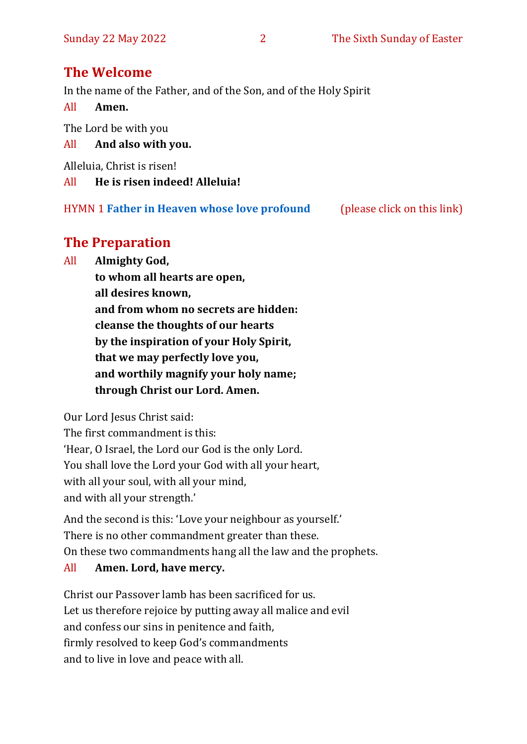# **The Welcome**

In the name of the Father, and of the Son, and of the Holy Spirit

All **Amen.**

The Lord be with you

All **And also with you.**

Alleluia, Christ is risen!

All **He is risen indeed! Alleluia!**

HYMN 1 **[Father in Heaven whose love profound](https://www.youtube.com/watch?v=Ox28L9W-4cY)** (please click on this link)

# **The Preparation**

All **Almighty God,**

**to whom all hearts are open, all desires known, and from whom no secrets are hidden: cleanse the thoughts of our hearts by the inspiration of your Holy Spirit, that we may perfectly love you, and worthily magnify your holy name; through Christ our Lord. Amen.**

Our Lord Jesus Christ said:

The first commandment is this: 'Hear, O Israel, the Lord our God is the only Lord. You shall love the Lord your God with all your heart, with all your soul, with all your mind, and with all your strength.'

And the second is this: 'Love your neighbour as yourself.' There is no other commandment greater than these. On these two commandments hang all the law and the prophets.

# All **Amen. Lord, have mercy.**

Christ our Passover lamb has been sacrificed for us. Let us therefore rejoice by putting away all malice and evil and confess our sins in penitence and faith, firmly resolved to keep God's commandments and to live in love and peace with all.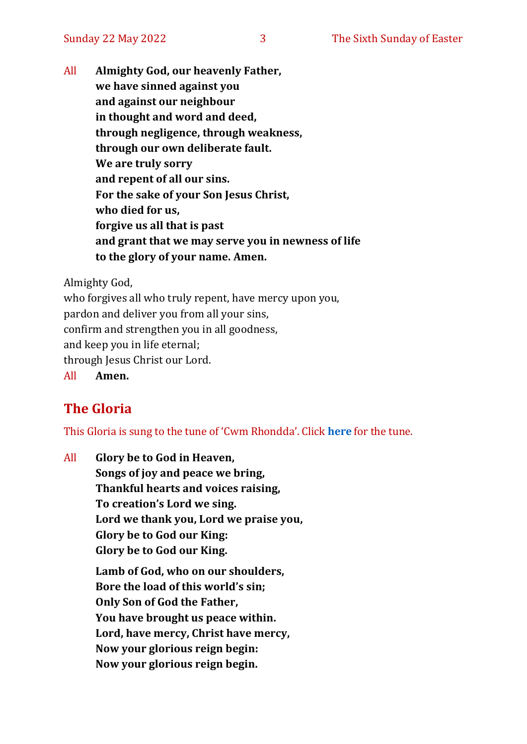All **Almighty God, our heavenly Father, we have sinned against you and against our neighbour in thought and word and deed, through negligence, through weakness, through our own deliberate fault. We are truly sorry and repent of all our sins. For the sake of your Son Jesus Christ, who died for us, forgive us all that is past and grant that we may serve you in newness of life to the glory of your name. Amen.**

Almighty God,

who forgives all who truly repent, have mercy upon you, pardon and deliver you from all your sins, confirm and strengthen you in all goodness, and keep you in life eternal; through Jesus Christ our Lord. All **Amen.**

# **The Gloria**

This Gloria is sung to the tune of 'Cwm Rhondda'. Click **[here](about:blank)** for the tune.

All **Glory be to God in Heaven, Songs of joy and peace we bring, Thankful hearts and voices raising, To creation's Lord we sing. Lord we thank you, Lord we praise you, Glory be to God our King: Glory be to God our King.**

> **Lamb of God, who on our shoulders, Bore the load of this world's sin; Only Son of God the Father, You have brought us peace within. Lord, have mercy, Christ have mercy, Now your glorious reign begin: Now your glorious reign begin.**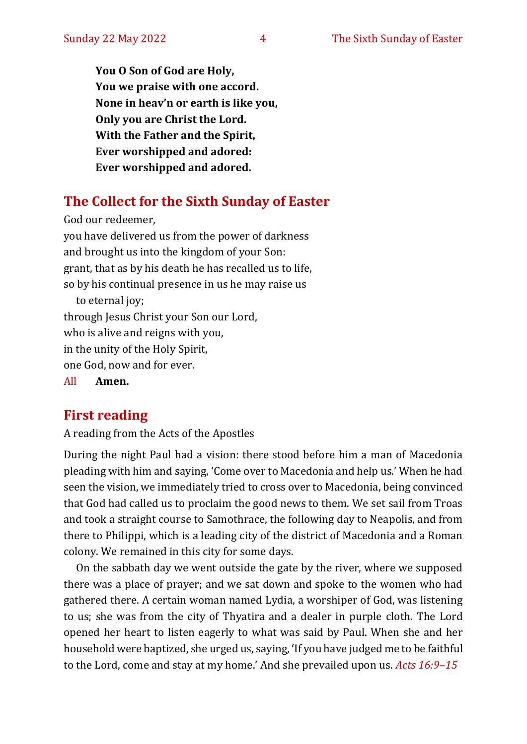**You O Son of God are Holy, You we praise with one accord. None in heav'n or earth is like you, Only you are Christ the Lord. With the Father and the Spirit, Ever worshipped and adored: Ever worshipped and adored.**

# **The Collect for the Sixth Sunday of Easter**

God our redeemer, you have delivered us from the power of darkness and brought us into the kingdom of your Son: grant, that as by his death he has recalled us to life, so by his continual presence in us he may raise us to eternal joy; through Jesus Christ your Son our Lord, who is alive and reigns with you, in the unity of the Holy Spirit, one God, now and for ever. All **Amen.**

# **First reading**

#### A reading from the Acts of the Apostles

During the night Paul had a vision: there stood before him a man of Macedonia pleading with him and saying, 'Come over to Macedonia and help us.' When he had seen the vision, we immediately tried to cross over to Macedonia, being convinced that God had called us to proclaim the good news to them. We set sail from Troas and took a straight course to Samothrace, the following day to Neapolis, and from there to Philippi, which is a leading city of the district of Macedonia and a Roman colony. We remained in this city for some days.

On the sabbath day we went outside the gate by the river, where we supposed there was a place of prayer; and we sat down and spoke to the women who had gathered there. A certain woman named Lydia, a worshiper of God, was listening to us; she was from the city of Thyatira and a dealer in purple cloth. The Lord opened her heart to listen eagerly to what was said by Paul. When she and her household were baptized, she urged us, saying, 'If you have judged me to be faithful to the Lord, come and stay at my home.' And she prevailed upon us. *Acts 16:9–15*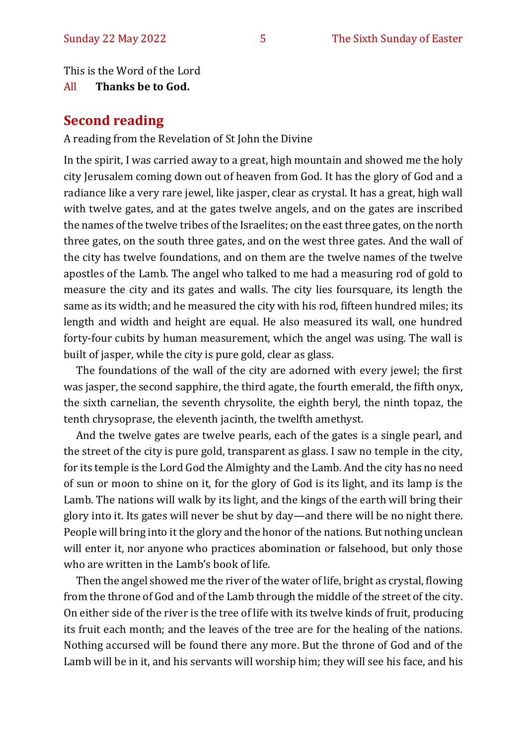This is the Word of the Lord

All **Thanks be to God.**

# **Second reading**

A reading from the Revelation of St John the Divine

In the spirit, I was carried away to a great, high mountain and showed me the holy city Jerusalem coming down out of heaven from God. It has the glory of God and a radiance like a very rare jewel, like jasper, clear as crystal. It has a great, high wall with twelve gates, and at the gates twelve angels, and on the gates are inscribed the names of the twelve tribes of the Israelites; on the east three gates, on the north three gates, on the south three gates, and on the west three gates. And the wall of the city has twelve foundations, and on them are the twelve names of the twelve apostles of the Lamb. The angel who talked to me had a measuring rod of gold to measure the city and its gates and walls. The city lies foursquare, its length the same as its width; and he measured the city with his rod, fifteen hundred miles; its length and width and height are equal. He also measured its wall, one hundred forty-four cubits by human measurement, which the angel was using. The wall is built of jasper, while the city is pure gold, clear as glass.

The foundations of the wall of the city are adorned with every jewel; the first was jasper, the second sapphire, the third agate, the fourth emerald, the fifth onyx, the sixth carnelian, the seventh chrysolite, the eighth beryl, the ninth topaz, the tenth chrysoprase, the eleventh jacinth, the twelfth amethyst.

And the twelve gates are twelve pearls, each of the gates is a single pearl, and the street of the city is pure gold, transparent as glass. I saw no temple in the city, for its temple is the Lord God the Almighty and the Lamb. And the city has no need of sun or moon to shine on it, for the glory of God is its light, and its lamp is the Lamb. The nations will walk by its light, and the kings of the earth will bring their glory into it. Its gates will never be shut by day—and there will be no night there. People will bring into it the glory and the honor of the nations. But nothing unclean will enter it, nor anyone who practices abomination or falsehood, but only those who are written in the Lamb's book of life.

Then the angel showed me the river of the water of life, bright as crystal, flowing from the throne of God and of the Lamb through the middle of the street of the city. On either side of the river is the tree of life with its twelve kinds of fruit, producing its fruit each month; and the leaves of the tree are for the healing of the nations. Nothing accursed will be found there any more. But the throne of God and of the Lamb will be in it, and his servants will worship him; they will see his face, and his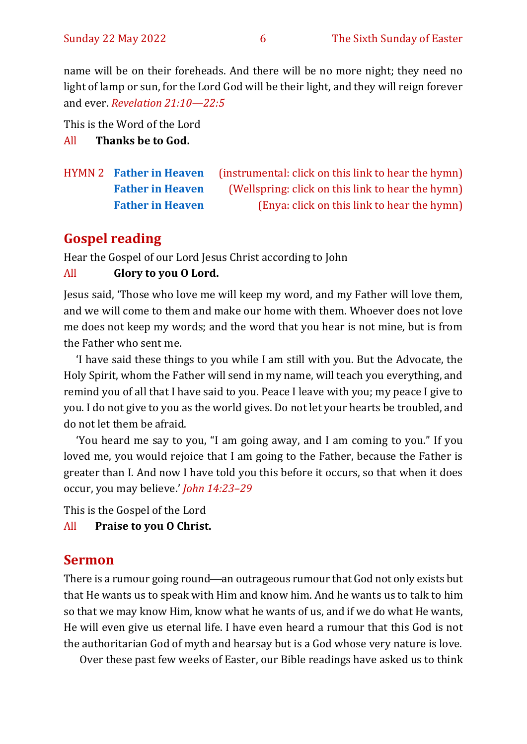name will be on their foreheads. And there will be no more night; they need no light of lamp or sun, for the Lord God will be their light, and they will reign forever and ever. *Revelation 21:10—22:5*

This is the Word of the Lord All **Thanks be to God.**

HYMN 2 **[Father in Heaven](https://www.youtube.com/watch?v=L5LpidPnVz0)** (instrumental: click on this link to hear the hymn) **[Father in Heaven](https://www.youtube.com/watch?v=1Uj060nzx7Q)** (Wellspring: click on this link to hear the hymn) **[Father in Heaven](https://www.youtube.com/watch?v=BamB290iJU0)** (Enya: click on this link to hear the hymn)

# **Gospel reading**

Hear the Gospel of our Lord Jesus Christ according to John All **Glory to you O Lord.**

Jesus said, 'Those who love me will keep my word, and my Father will love them, and we will come to them and make our home with them. Whoever does not love me does not keep my words; and the word that you hear is not mine, but is from the Father who sent me.

'I have said these things to you while I am still with you. But the Advocate, the Holy Spirit, whom the Father will send in my name, will teach you everything, and remind you of all that I have said to you. Peace I leave with you; my peace I give to you. I do not give to you as the world gives. Do not let your hearts be troubled, and do not let them be afraid.

'You heard me say to you, "I am going away, and I am coming to you." If you loved me, you would rejoice that I am going to the Father, because the Father is greater than I. And now I have told you this before it occurs, so that when it does occur, you may believe.' *John 14:23–29*

This is the Gospel of the Lord All **Praise to you O Christ.** 

# **Sermon**

There is a rumour going round—an outrageous rumour that God not only exists but that He wants us to speak with Him and know him. And he wants us to talk to him so that we may know Him, know what he wants of us, and if we do what He wants, He will even give us eternal life. I have even heard a rumour that this God is not the authoritarian God of myth and hearsay but is a God whose very nature is love.

Over these past few weeks of Easter, our Bible readings have asked us to think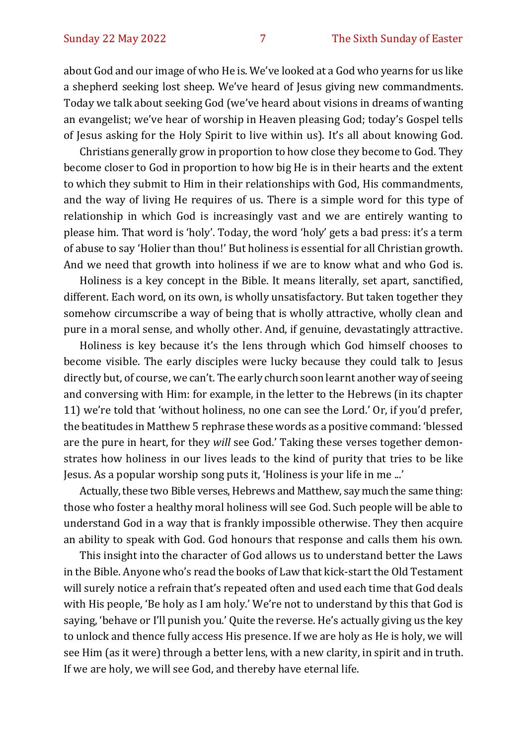about God and our image of who He is. We've looked at a God who yearns for us like a shepherd seeking lost sheep. We've heard of Jesus giving new commandments. Today we talk about seeking God (we've heard about visions in dreams of wanting an evangelist; we've hear of worship in Heaven pleasing God; today's Gospel tells of Jesus asking for the Holy Spirit to live within us). It's all about knowing God.

Christians generally grow in proportion to how close they become to God. They become closer to God in proportion to how big He is in their hearts and the extent to which they submit to Him in their relationships with God, His commandments, and the way of living He requires of us. There is a simple word for this type of relationship in which God is increasingly vast and we are entirely wanting to please him. That word is 'holy'. Today, the word 'holy' gets a bad press: it's a term of abuse to say 'Holier than thou!' But holiness is essential for all Christian growth. And we need that growth into holiness if we are to know what and who God is.

Holiness is a key concept in the Bible. It means literally, set apart, sanctified, different. Each word, on its own, is wholly unsatisfactory. But taken together they somehow circumscribe a way of being that is wholly attractive, wholly clean and pure in a moral sense, and wholly other. And, if genuine, devastatingly attractive.

Holiness is key because it's the lens through which God himself chooses to become visible. The early disciples were lucky because they could talk to Jesus directly but, of course, we can't. The early church soon learnt another way of seeing and conversing with Him: for example, in the letter to the Hebrews (in its chapter 11) we're told that 'without holiness, no one can see the Lord.' Or, if you'd prefer, the beatitudes in Matthew 5 rephrase these words as a positive command: 'blessed are the pure in heart, for they *will* see God.' Taking these verses together demonstrates how holiness in our lives leads to the kind of purity that tries to be like Jesus. As a popular worship song puts it, 'Holiness is your life in me ...'

Actually, these two Bible verses, Hebrews and Matthew, say much the same thing: those who foster a healthy moral holiness will see God. Such people will be able to understand God in a way that is frankly impossible otherwise. They then acquire an ability to speak with God. God honours that response and calls them his own.

This insight into the character of God allows us to understand better the Laws in the Bible. Anyone who's read the books of Law that kick-start the Old Testament will surely notice a refrain that's repeated often and used each time that God deals with His people, 'Be holy as I am holy.' We're not to understand by this that God is saying, 'behave or I'll punish you.' Quite the reverse. He's actually giving us the key to unlock and thence fully access His presence. If we are holy as He is holy, we will see Him (as it were) through a better lens, with a new clarity, in spirit and in truth. If we are holy, we will see God, and thereby have eternal life.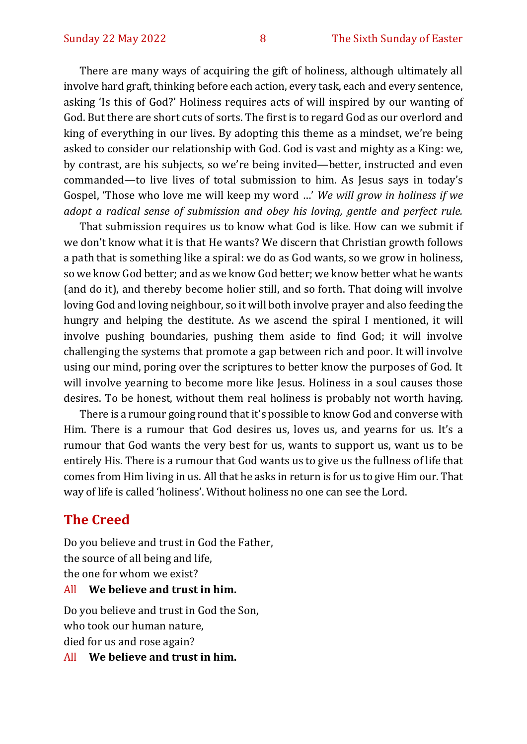There are many ways of acquiring the gift of holiness, although ultimately all involve hard graft, thinking before each action, every task, each and every sentence, asking 'Is this of God?' Holiness requires acts of will inspired by our wanting of God. But there are short cuts of sorts. The first is to regard God as our overlord and king of everything in our lives. By adopting this theme as a mindset, we're being asked to consider our relationship with God. God is vast and mighty as a King: we, by contrast, are his subjects, so we're being invited—better, instructed and even commanded—to live lives of total submission to him. As Jesus says in today's Gospel, 'Those who love me will keep my word …' *We will grow in holiness if we adopt a radical sense of submission and obey his loving, gentle and perfect rule.*

That submission requires us to know what God is like. How can we submit if we don't know what it is that He wants? We discern that Christian growth follows a path that is something like a spiral: we do as God wants, so we grow in holiness, so we know God better; and as we know God better; we know better what he wants (and do it), and thereby become holier still, and so forth. That doing will involve loving God and loving neighbour, so it will both involve prayer and also feeding the hungry and helping the destitute. As we ascend the spiral I mentioned, it will involve pushing boundaries, pushing them aside to find God; it will involve challenging the systems that promote a gap between rich and poor. It will involve using our mind, poring over the scriptures to better know the purposes of God. It will involve yearning to become more like Jesus. Holiness in a soul causes those desires. To be honest, without them real holiness is probably not worth having.

There is a rumour going round that it's possible to know God and converse with Him. There is a rumour that God desires us, loves us, and yearns for us. It's a rumour that God wants the very best for us, wants to support us, want us to be entirely His. There is a rumour that God wants us to give us the fullness of life that comes from Him living in us. All that he asks in return is for us to give Him our. That way of life is called 'holiness'. Without holiness no one can see the Lord.

# **The Creed**

Do you believe and trust in God the Father, the source of all being and life, the one for whom we exist?

#### All **We believe and trust in him.**

Do you believe and trust in God the Son, who took our human nature, died for us and rose again?

All **We believe and trust in him.**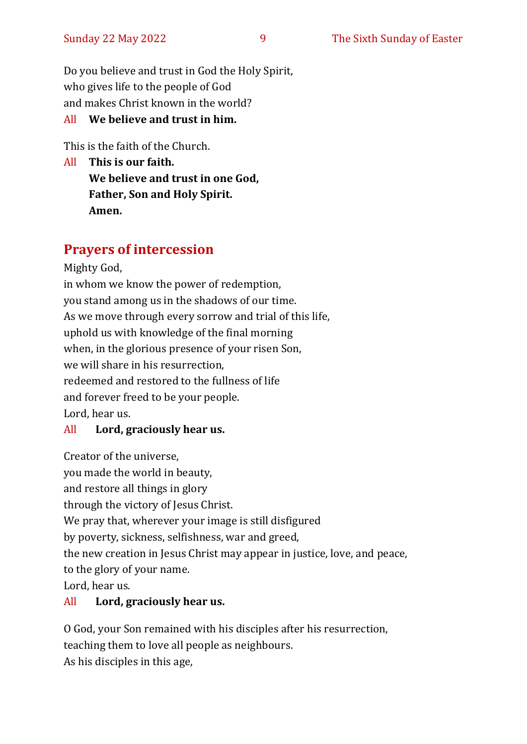Do you believe and trust in God the Holy Spirit, who gives life to the people of God and makes Christ known in the world?

#### All **We believe and trust in him.**

This is the faith of the Church.

All **This is our faith. We believe and trust in one God, Father, Son and Holy Spirit. Amen.**

# **Prayers of intercession**

Mighty God,

in whom we know the power of redemption, you stand among us in the shadows of our time. As we move through every sorrow and trial of this life, uphold us with knowledge of the final morning when, in the glorious presence of your risen Son, we will share in his resurrection, redeemed and restored to the fullness of life and forever freed to be your people. Lord, hear us.

#### All **Lord, graciously hear us.**

Creator of the universe, you made the world in beauty, and restore all things in glory through the victory of Jesus Christ. We pray that, wherever your image is still disfigured by poverty, sickness, selfishness, war and greed, the new creation in Jesus Christ may appear in justice, love, and peace, to the glory of your name. Lord, hear us.

All **Lord, graciously hear us.**

O God, your Son remained with his disciples after his resurrection, teaching them to love all people as neighbours.

As his disciples in this age,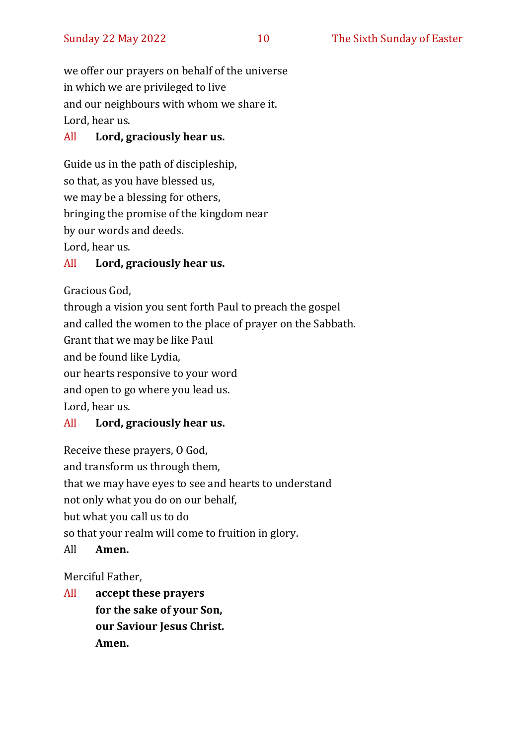we offer our prayers on behalf of the universe in which we are privileged to live and our neighbours with whom we share it. Lord, hear us.

#### All **Lord, graciously hear us.**

Guide us in the path of discipleship, so that, as you have blessed us, we may be a blessing for others, bringing the promise of the kingdom near by our words and deeds. Lord, hear us.

#### All **Lord, graciously hear us.**

Gracious God,

through a vision you sent forth Paul to preach the gospel and called the women to the place of prayer on the Sabbath. Grant that we may be like Paul and be found like Lydia, our hearts responsive to your word and open to go where you lead us. Lord, hear us.

#### All **Lord, graciously hear us.**

Receive these prayers, O God, and transform us through them, that we may have eyes to see and hearts to understand not only what you do on our behalf, but what you call us to do so that your realm will come to fruition in glory.

All **Amen.** 

Merciful Father,

All **accept these prayers for the sake of your Son, our Saviour Jesus Christ. Amen.**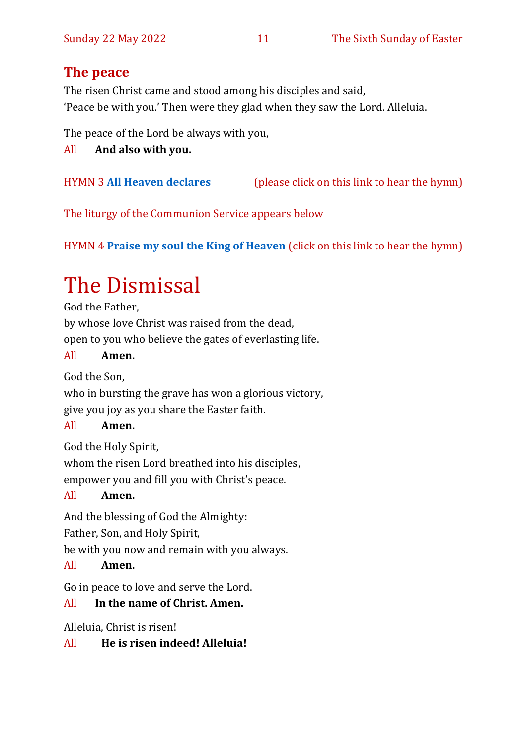# **The peace**

The risen Christ came and stood among his disciples and said, 'Peace be with you.' Then were they glad when they saw the Lord. Alleluia.

The peace of the Lord be always with you,

All **And also with you.**

HYMN 3 **[All Heaven declares](https://www.youtube.com/watch?v=S-s9Kk6tfVU)** (please click on this link to hear the hymn)

The liturgy of the Communion Service appears below

HYMN 4 **[Praise my soul the King of Heaven](https://www.youtube.com/watch?v=sx1eMwlDFb8)** (click on this link to hear the hymn)

# The Dismissal

God the Father, by whose love Christ was raised from the dead, open to you who believe the gates of everlasting life.

# All **Amen.**

God the Son,

who in bursting the grave has won a glorious victory, give you joy as you share the Easter faith.

# All **Amen.**

God the Holy Spirit, whom the risen Lord breathed into his disciples,

empower you and fill you with Christ's peace.

# All **Amen.**

And the blessing of God the Almighty:

Father, Son, and Holy Spirit,

be with you now and remain with you always.

# All **Amen.**

Go in peace to love and serve the Lord.

# All **In the name of Christ. Amen.**

Alleluia, Christ is risen!

# All **He is risen indeed! Alleluia!**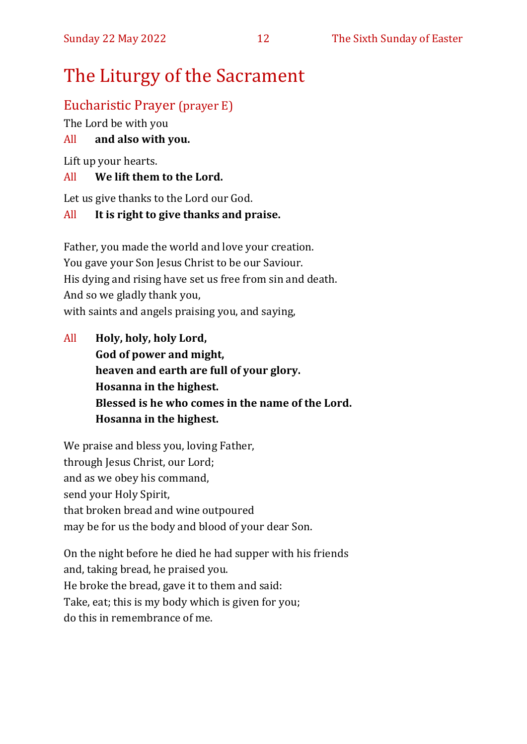# The Liturgy of the Sacrament

# Eucharistic Prayer (prayer E)

The Lord be with you

# All **and also with you.**

Lift up your hearts.

#### All **We lift them to the Lord.**

Let us give thanks to the Lord our God.

#### All **It is right to give thanks and praise.**

Father, you made the world and love your creation. You gave your Son Jesus Christ to be our Saviour. His dying and rising have set us free from sin and death. And so we gladly thank you, with saints and angels praising you, and saying,

All **Holy, holy, holy Lord, God of power and might, heaven and earth are full of your glory. Hosanna in the highest. Blessed is he who comes in the name of the Lord. Hosanna in the highest.**

We praise and bless you, loving Father, through Jesus Christ, our Lord; and as we obey his command, send your Holy Spirit, that broken bread and wine outpoured may be for us the body and blood of your dear Son.

On the night before he died he had supper with his friends and, taking bread, he praised you. He broke the bread, gave it to them and said: Take, eat; this is my body which is given for you; do this in remembrance of me.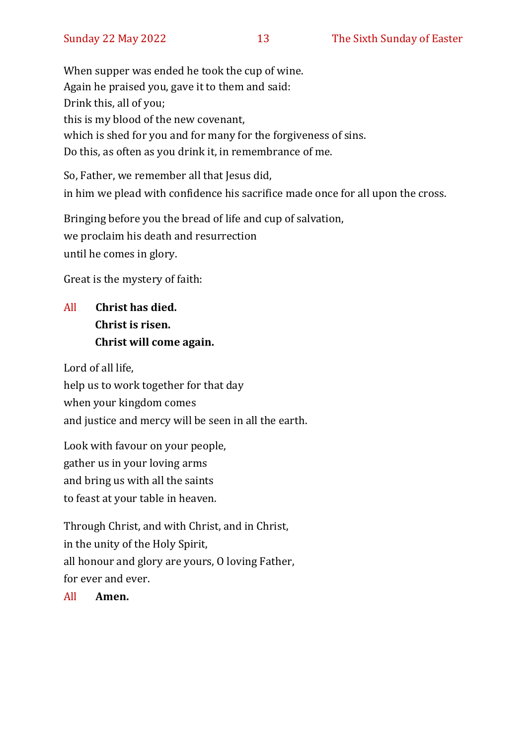When supper was ended he took the cup of wine. Again he praised you, gave it to them and said: Drink this, all of you; this is my blood of the new covenant, which is shed for you and for many for the forgiveness of sins. Do this, as often as you drink it, in remembrance of me.

So, Father, we remember all that Jesus did, in him we plead with confidence his sacrifice made once for all upon the cross.

Bringing before you the bread of life and cup of salvation, we proclaim his death and resurrection until he comes in glory.

Great is the mystery of faith:

# All **Christ has died. Christ is risen. Christ will come again.**

Lord of all life, help us to work together for that day when your kingdom comes and justice and mercy will be seen in all the earth.

Look with favour on your people, gather us in your loving arms and bring us with all the saints to feast at your table in heaven.

Through Christ, and with Christ, and in Christ, in the unity of the Holy Spirit, all honour and glory are yours, O loving Father, for ever and ever.

All **Amen.**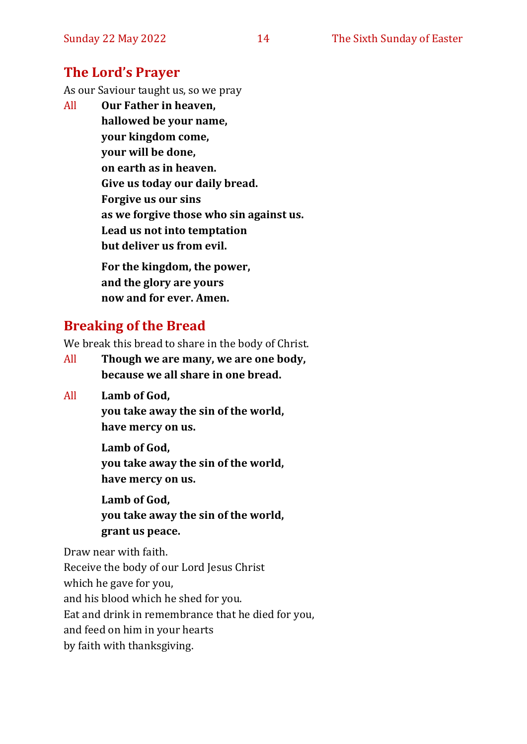# **The Lord's Prayer**

As our Saviour taught us, so we pray

All **Our Father in heaven, hallowed be your name, your kingdom come, your will be done, on earth as in heaven. Give us today our daily bread. Forgive us our sins as we forgive those who sin against us. Lead us not into temptation but deliver us from evil. For the kingdom, the power,** 

**and the glory are yours now and for ever. Amen.**

# **Breaking of the Bread**

We break this bread to share in the body of Christ.

- All **Though we are many, we are one body, because we all share in one bread.**
- All **Lamb of God,**

**you take away the sin of the world, have mercy on us.**

**Lamb of God, you take away the sin of the world, have mercy on us.**

**Lamb of God, you take away the sin of the world, grant us peace.**

Draw near with faith.

Receive the body of our Lord Jesus Christ which he gave for you, and his blood which he shed for you. Eat and drink in remembrance that he died for you, and feed on him in your hearts by faith with thanksgiving.